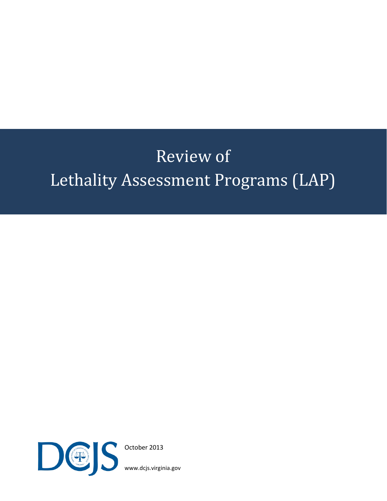# Review of Lethality Assessment Programs (LAP)



October 2013

[www.dcjs.virginia.gov](http://www.dcjs.virginia.gov/)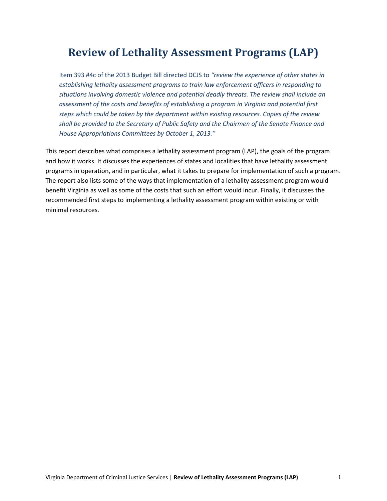### **Review of Lethality Assessment Programs (LAP)**

Item 393 #4c of the 2013 Budget Bill directed DCJS to *"review the experience of other states in establishing lethality assessment programs to train law enforcement officers in responding to situations involving domestic violence and potential deadly threats. The review shall include an assessment of the costs and benefits of establishing a program in Virginia and potential first steps which could be taken by the department within existing resources. Copies of the review shall be provided to the Secretary of Public Safety and the Chairmen of the Senate Finance and House Appropriations Committees by October 1, 2013."* 

This report describes what comprises a lethality assessment program (LAP), the goals of the program and how it works. It discusses the experiences of states and localities that have lethality assessment programs in operation, and in particular, what it takes to prepare for implementation of such a program. The report also lists some of the ways that implementation of a lethality assessment program would benefit Virginia as well as some of the costs that such an effort would incur. Finally, it discusses the recommended first steps to implementing a lethality assessment program within existing or with minimal resources.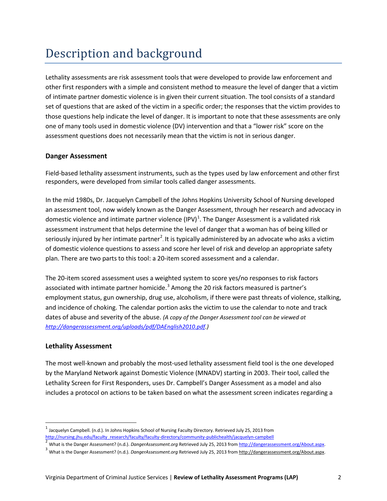## Description and background

Lethality assessments are risk assessment tools that were developed to provide law enforcement and other first responders with a simple and consistent method to measure the level of danger that a victim of intimate partner domestic violence is in given their current situation. The tool consists of a standard set of questions that are asked of the victim in a specific order; the responses that the victim provides to those questions help indicate the level of danger. It is important to note that these assessments are only one of many tools used in domestic violence (DV) intervention and that a "lower risk" score on the assessment questions does not necessarily mean that the victim is not in serious danger.

#### **Danger Assessment**

Field-based lethality assessment instruments, such as the types used by law enforcement and other first responders, were developed from similar tools called danger assessments.

In the mid 1980s, Dr. Jacquelyn Campbell of the Johns Hopkins University School of Nursing developed an assessment tool, now widely known as the Danger Assessment, through her research and advocacy in domestic violence and intimate partner violence (IPV)<sup>[1](#page-2-0)</sup>. The Danger Assessment is a validated risk assessment instrument that helps determine the level of danger that a woman has of being killed or seriously injured by her intimate partner<sup>[2](#page-2-1)</sup>. It is typically administered by an advocate who asks a victim of domestic violence questions to assess and score her level of risk and develop an appropriate safety plan. There are two parts to this tool: a 20-item scored assessment and a calendar.

The 20-item scored assessment uses a weighted system to score yes/no responses to risk factors associated with intimate partner homicide.<sup>[3](#page-2-2)</sup> Among the 20 risk factors measured is partner's employment status, gun ownership, drug use, alcoholism, if there were past threats of violence, stalking, and incidence of choking. The calendar portion asks the victim to use the calendar to note and track dates of abuse and severity of the abuse. *(A copy of the Danger Assessment tool can be viewed at [http://dangerassessment.org/uploads/pdf/DAEnglish2010.pdf.](http://dangerassessment.org/uploads/pdf/DAEnglish2010.pdf))*

#### **Lethality Assessment**

The most well-known and probably the most-used lethality assessment field tool is the one developed by the Maryland Network against Domestic Violence (MNADV) starting in 2003. Their tool, called the Lethality Screen for First Responders, uses Dr. Campbell's Danger Assessment as a model and also includes a protocol on actions to be taken based on what the assessment screen indicates regarding a

<span id="page-2-0"></span><sup>&</sup>lt;sup>1</sup> Jacquelyn Campbell. (n.d.). In Johns Hopkins School of Nursing Faculty Directory. Retrieved July 25, 2013 from<br>http://nursing.jhu.edu/faculty research/faculty/faculty-directory/community-publichealth/jacquelyn-campbell

<span id="page-2-1"></span><sup>&</sup>lt;sup>2</sup> What is the Danger Assessment? (n.d.). DangerAssessment.org Retrieved July 25, 2013 from [http://dangerassessment.org/About.aspx.](http://dangerassessment.org/About.aspx)

<span id="page-2-2"></span><sup>&</sup>lt;sup>3</sup> What is the Danger Assessment? (n.d.). *DangerAssessment.org* Retrieved July 25, 2013 from [http://dangerassessment.org/About.aspx.](http://dangerassessment.org/About.aspx)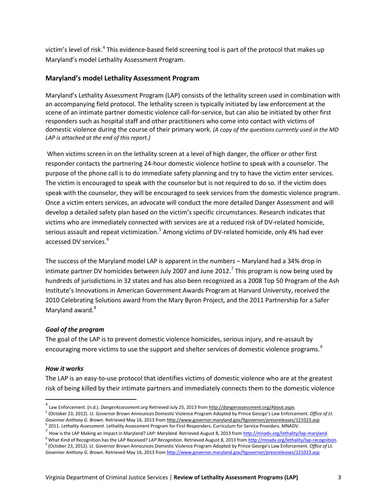victim's level of risk.<sup>[4](#page-3-0)</sup> This evidence-based field screening tool is part of the protocol that makes up Maryland's model Lethality Assessment Program.

#### **Maryland's model Lethality Assessment Program**

Maryland's Lethality Assessment Program (LAP) consists of the lethality screen used in combination with an accompanying field protocol. The lethality screen is typically initiated by law enforcement at the scene of an intimate partner domestic violence call-for-service, but can also be initiated by other first responders such as hospital staff and other practitioners who come into contact with victims of domestic violence during the course of their primary work. *(A copy of the questions currently used in the MD LAP is attached at the end of this report.)*

When victims screen in on the lethality screen at a level of high danger, the officer or other first responder contacts the partnering 24-hour domestic violence hotline to speak with a counselor. The purpose of the phone call is to do immediate safety planning and try to have the victim enter services. The victim is encouraged to speak with the counselor but is not required to do so. If the victim does speak with the counselor, they will be encouraged to seek services from the domestic violence program. Once a victim enters services, an advocate will conduct the more detailed Danger Assessment and will develop a detailed safety plan based on the victim's specific circumstances. Research indicates that victims who are immediately connected with services are at a reduced risk of DV-related homicide, serious assault and repeat victimization.<sup>[5](#page-3-1)</sup> Among victims of DV-related homicide, only 4% had ever accessed DV services.[6](#page-3-2)

The success of the Maryland model LAP is apparent in the numbers – Maryland had a 34% drop in intimate partner DV homicides between July 200[7](#page-3-3) and June 2012.<sup>7</sup> This program is now being used by hundreds of jurisdictions in 32 states and has also been recognized as a 2008 Top 50 Program of the Ash Institute's Innovations in American Government Awards Program at Harvard University, received the 2010 Celebrating Solutions award from the Mary Byron Project, and the 2011 Partnership for a Safer Maryland award.<sup>[8](#page-3-4)</sup>

#### *Goal of the program*

The goal of the LAP is to prevent domestic violence homicides, serious injury, and re-assault by encouraging more victims to use the support and shelter services of domestic violence programs.<sup>[9](#page-3-5)</sup>

#### *How it works*

The LAP is an easy-to-use protocol that identifies victims of domestic violence who are at the greatest risk of being killed by their intimate partners and immediately connects them to the domestic violence

<span id="page-3-0"></span> <sup>4</sup> Law Enforcement. (n.d.). *DangerAssessment.org* Retrieved July 25, 2013 from [http://dangerassessment.org/About.aspx.](http://dangerassessment.org/About.aspx)

<span id="page-3-1"></span><sup>5</sup> (October 23, 2012). Lt. Governor Brown Announces Domestic Violence Program Adopted by Prince George's Law Enforcement. *Office of Lt. Governor Anthony G. Brown*. Retrieved May 16, 2013 fro[m http://www.governor.maryland.gov/ltgovernor/pressreleases/121023.asp](http://www.governor.maryland.gov/ltgovernor/pressreleases/121023.asp)

<span id="page-3-3"></span>

<span id="page-3-2"></span><sup>&</sup>lt;sup>6</sup> 2011. *Lethality Assessment*. Lethality Assessment Program for First Responders. Curriculum for Service Providers. MNADV.<br><sup>7</sup> How is the LAP Making an Impact in Maryland? *LAP: Maryland.* Retrieved August 8, 2013 from

<span id="page-3-5"></span><span id="page-3-4"></span><sup>&</sup>lt;sup>9</sup> (October 23, 2012). Lt. Governor Brown Announces Domestic Violence Program Adopted by Prince George's Law Enforcement. Office of Lt. *Governor Anthony G. Brown*. Retrieved May 16, 2013 fro[m http://www.governor.maryland.gov/ltgovernor/pressreleases/121023.asp](http://www.governor.maryland.gov/ltgovernor/pressreleases/121023.asp)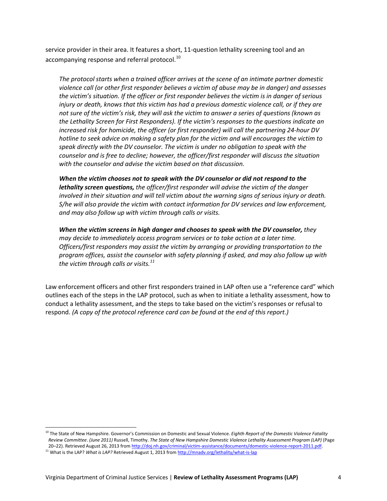service provider in their area. It features a short, 11-question lethality screening tool and an accompanying response and referral protocol.<sup>[10](#page-4-0)</sup>

*The protocol starts when a trained officer arrives at the scene of an intimate partner domestic violence call (or other first responder believes a victim of abuse may be in danger) and assesses the victim's situation. If the officer or first responder believes the victim is in danger of serious injury or death, knows that this victim has had a previous domestic violence call, or if they are not sure of the victim's risk, they will ask the victim to answer a series of questions (known as the Lethality Screen for First Responders). If the victim's responses to the questions indicate an increased risk for homicide, the officer (or first responder) will call the partnering 24-hour DV hotline to seek advice on making a safety plan for the victim and will encourages the victim to speak directly with the DV counselor. The victim is under no obligation to speak with the counselor and is free to decline; however, the officer/first responder will discuss the situation with the counselor and advise the victim based on that discussion.*

*When the victim chooses not to speak with the DV counselor or did not respond to the lethality screen questions, the officer/first responder will advise the victim of the danger involved in their situation and will tell victim about the warning signs of serious injury or death. S/he will also provide the victim with contact information for DV services and law enforcement, and may also follow up with victim through calls or visits.*

*When the victim screens in high danger and chooses to speak with the DV counselor, they may decide to immediately access program services or to take action at a later time. Officers/first responders may assist the victim by arranging or providing transportation to the program offices, assist the counselor with safety planning if asked, and may also follow up with the victim through calls or visits.[11](#page-4-1)*

Law enforcement officers and other first responders trained in LAP often use a "reference card" which outlines each of the steps in the LAP protocol, such as when to initiate a lethality assessment, how to conduct a lethality assessment, and the steps to take based on the victim's responses or refusal to respond. *(A copy of the protocol reference card can be found at the end of this report.)* 

<span id="page-4-0"></span><sup>&</sup>lt;sup>10</sup> The State of New Hampshire. Governor's Commission on Domestic and Sexual Violence. *Eighth Report of the Domestic Violence Fatality Review Committee*. *(June 2011)* Russell, Timothy. *The State of New Hampshire Domestic Violence Lethality Assessment Program (LAP)* (Page 20–22). Retrieved August 26, 2013 from http://doj.nh.gov/criminal/victim-assistance/documents/domestic-violence-report-2011.pdf.<br><sup>11</sup> What is the LAP? What is LAP? Retrieved August 1, 2013 from http://mnadv.org/lethality/w

<span id="page-4-1"></span>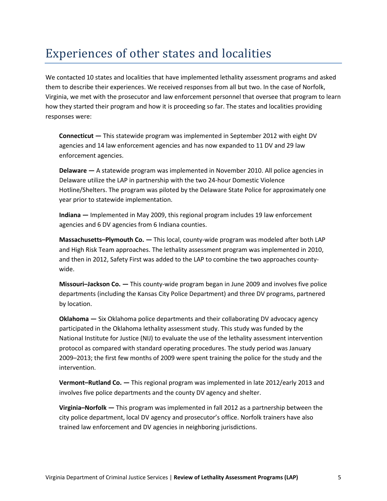### Experiences of other states and localities

We contacted 10 states and localities that have implemented lethality assessment programs and asked them to describe their experiences. We received responses from all but two. In the case of Norfolk, Virginia, we met with the prosecutor and law enforcement personnel that oversee that program to learn how they started their program and how it is proceeding so far. The states and localities providing responses were:

**Connecticut —** This statewide program was implemented in September 2012 with eight DV agencies and 14 law enforcement agencies and has now expanded to 11 DV and 29 law enforcement agencies.

**Delaware —** A statewide program was implemented in November 2010. All police agencies in Delaware utilize the LAP in partnership with the two 24-hour Domestic Violence Hotline/Shelters. The program was piloted by the Delaware State Police for approximately one year prior to statewide implementation.

**Indiana —** Implemented in May 2009, this regional program includes 19 law enforcement agencies and 6 DV agencies from 6 Indiana counties.

**Massachusetts–Plymouth Co. —** This local, county-wide program was modeled after both LAP and High Risk Team approaches. The lethality assessment program was implemented in 2010, and then in 2012, Safety First was added to the LAP to combine the two approaches countywide.

**Missouri–Jackson Co. —** This county-wide program began in June 2009 and involves five police departments (including the Kansas City Police Department) and three DV programs, partnered by location.

**Oklahoma —** Six Oklahoma police departments and their collaborating DV advocacy agency participated in the Oklahoma lethality assessment study. This study was funded by the National Institute for Justice (NIJ) to evaluate the use of the lethality assessment intervention protocol as compared with standard operating procedures. The study period was January 2009–2013; the first few months of 2009 were spent training the police for the study and the intervention.

**Vermont–Rutland Co. —** This regional program was implemented in late 2012/early 2013 and involves five police departments and the county DV agency and shelter.

**Virginia–Norfolk —** This program was implemented in fall 2012 as a partnership between the city police department, local DV agency and prosecutor's office. Norfolk trainers have also trained law enforcement and DV agencies in neighboring jurisdictions.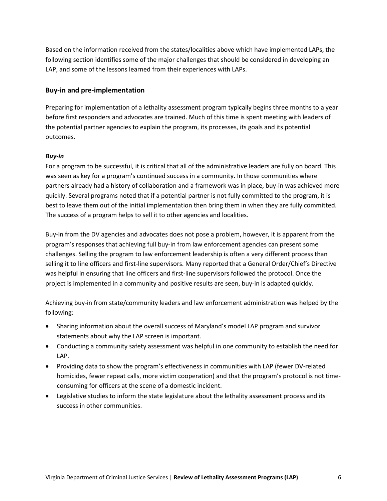Based on the information received from the states/localities above which have implemented LAPs, the following section identifies some of the major challenges that should be considered in developing an LAP, and some of the lessons learned from their experiences with LAPs.

#### **Buy-in and pre-implementation**

Preparing for implementation of a lethality assessment program typically begins three months to a year before first responders and advocates are trained. Much of this time is spent meeting with leaders of the potential partner agencies to explain the program, its processes, its goals and its potential outcomes.

#### *Buy-in*

For a program to be successful, it is critical that all of the administrative leaders are fully on board. This was seen as key for a program's continued success in a community. In those communities where partners already had a history of collaboration and a framework was in place, buy-in was achieved more quickly. Several programs noted that if a potential partner is not fully committed to the program, it is best to leave them out of the initial implementation then bring them in when they are fully committed. The success of a program helps to sell it to other agencies and localities.

Buy-in from the DV agencies and advocates does not pose a problem, however, it is apparent from the program's responses that achieving full buy-in from law enforcement agencies can present some challenges. Selling the program to law enforcement leadership is often a very different process than selling it to line officers and first-line supervisors. Many reported that a General Order/Chief's Directive was helpful in ensuring that line officers and first-line supervisors followed the protocol. Once the project is implemented in a community and positive results are seen, buy-in is adapted quickly.

Achieving buy-in from state/community leaders and law enforcement administration was helped by the following:

- Sharing information about the overall success of Maryland's model LAP program and survivor statements about why the LAP screen is important.
- Conducting a community safety assessment was helpful in one community to establish the need for LAP.
- Providing data to show the program's effectiveness in communities with LAP (fewer DV-related homicides, fewer repeat calls, more victim cooperation) and that the program's protocol is not timeconsuming for officers at the scene of a domestic incident.
- Legislative studies to inform the state legislature about the lethality assessment process and its success in other communities.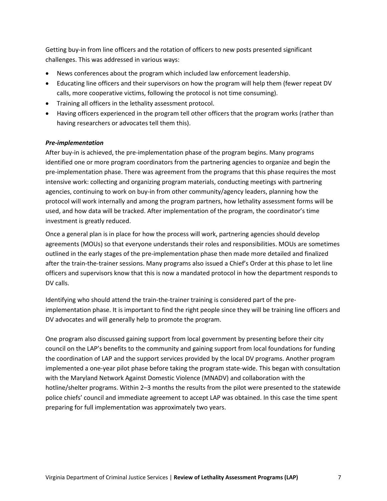Getting buy-in from line officers and the rotation of officers to new posts presented significant challenges. This was addressed in various ways:

- News conferences about the program which included law enforcement leadership.
- Educating line officers and their supervisors on how the program will help them (fewer repeat DV calls, more cooperative victims, following the protocol is not time consuming).
- Training all officers in the lethality assessment protocol.
- Having officers experienced in the program tell other officers that the program works (rather than having researchers or advocates tell them this).

#### *Pre-implementation*

After buy-in is achieved, the pre-implementation phase of the program begins. Many programs identified one or more program coordinators from the partnering agencies to organize and begin the pre-implementation phase. There was agreement from the programs that this phase requires the most intensive work: collecting and organizing program materials, conducting meetings with partnering agencies, continuing to work on buy-in from other community/agency leaders, planning how the protocol will work internally and among the program partners, how lethality assessment forms will be used, and how data will be tracked. After implementation of the program, the coordinator's time investment is greatly reduced.

Once a general plan is in place for how the process will work, partnering agencies should develop agreements (MOUs) so that everyone understands their roles and responsibilities. MOUs are sometimes outlined in the early stages of the pre-implementation phase then made more detailed and finalized after the train-the-trainer sessions. Many programs also issued a Chief's Order at this phase to let line officers and supervisors know that this is now a mandated protocol in how the department responds to DV calls.

Identifying who should attend the train-the-trainer training is considered part of the preimplementation phase. It is important to find the right people since they will be training line officers and DV advocates and will generally help to promote the program.

One program also discussed gaining support from local government by presenting before their city council on the LAP's benefits to the community and gaining support from local foundations for funding the coordination of LAP and the support services provided by the local DV programs. Another program implemented a one-year pilot phase before taking the program state-wide. This began with consultation with the Maryland Network Against Domestic Violence (MNADV) and collaboration with the hotline/shelter programs. Within 2–3 months the results from the pilot were presented to the statewide police chiefs' council and immediate agreement to accept LAP was obtained. In this case the time spent preparing for full implementation was approximately two years.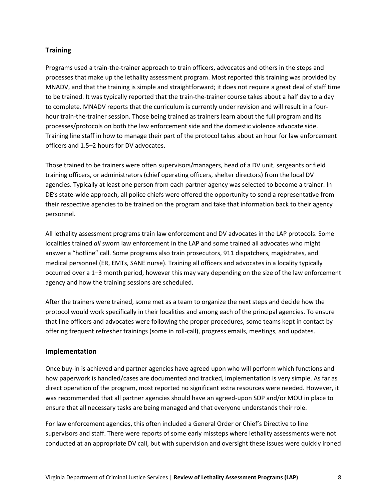#### **Training**

Programs used a train-the-trainer approach to train officers, advocates and others in the steps and processes that make up the lethality assessment program. Most reported this training was provided by MNADV, and that the training is simple and straightforward; it does not require a great deal of staff time to be trained. It was typically reported that the train-the-trainer course takes about a half day to a day to complete. MNADV reports that the curriculum is currently under revision and will result in a fourhour train-the-trainer session. Those being trained as trainers learn about the full program and its processes/protocols on both the law enforcement side and the domestic violence advocate side. Training line staff in how to manage their part of the protocol takes about an hour for law enforcement officers and 1.5–2 hours for DV advocates.

Those trained to be trainers were often supervisors/managers, head of a DV unit, sergeants or field training officers, or administrators (chief operating officers, shelter directors) from the local DV agencies. Typically at least one person from each partner agency was selected to become a trainer. In DE's state-wide approach, all police chiefs were offered the opportunity to send a representative from their respective agencies to be trained on the program and take that information back to their agency personnel.

All lethality assessment programs train law enforcement and DV advocates in the LAP protocols. Some localities trained *all* sworn law enforcement in the LAP and some trained all advocates who might answer a "hotline" call. Some programs also train prosecutors, 911 dispatchers, magistrates, and medical personnel (ER, EMTs, SANE nurse). Training all officers and advocates in a locality typically occurred over a 1–3 month period, however this may vary depending on the size of the law enforcement agency and how the training sessions are scheduled.

After the trainers were trained, some met as a team to organize the next steps and decide how the protocol would work specifically in their localities and among each of the principal agencies. To ensure that line officers and advocates were following the proper procedures, some teams kept in contact by offering frequent refresher trainings (some in roll-call), progress emails, meetings, and updates.

#### **Implementation**

Once buy-in is achieved and partner agencies have agreed upon who will perform which functions and how paperwork is handled/cases are documented and tracked, implementation is very simple. As far as direct operation of the program, most reported no significant extra resources were needed. However, it was recommended that all partner agencies should have an agreed-upon SOP and/or MOU in place to ensure that all necessary tasks are being managed and that everyone understands their role.

For law enforcement agencies, this often included a General Order or Chief's Directive to line supervisors and staff. There were reports of some early missteps where lethality assessments were not conducted at an appropriate DV call, but with supervision and oversight these issues were quickly ironed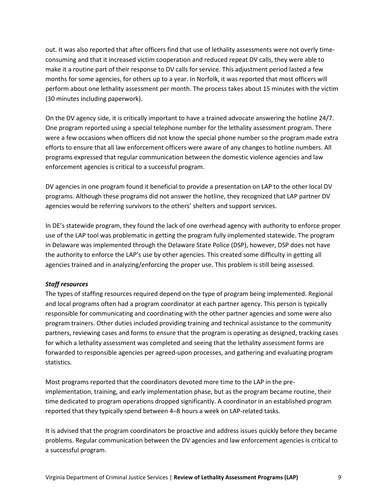out. It was also reported that after officers find that use of lethality assessments were not overly timeconsuming and that it increased victim cooperation and reduced repeat DV calls, they were able to make it a routine part of their response to DV calls for service. This adjustment period lasted a few months for some agencies, for others up to a year. In Norfolk, it was reported that most officers will perform about one lethality assessment per month. The process takes about 15 minutes with the victim (30 minutes including paperwork).

On the DV agency side, it is critically important to have a trained advocate answering the hotline 24/7. One program reported using a special telephone number for the lethality assessment program. There were a few occasions when officers did not know the special phone number so the program made extra efforts to ensure that all law enforcement officers were aware of any changes to hotline numbers. All programs expressed that regular communication between the domestic violence agencies and law enforcement agencies is critical to a successful program.

DV agencies in one program found it beneficial to provide a presentation on LAP to the other local DV programs. Although these programs did not answer the hotline, they recognized that LAP partner DV agencies would be referring survivors to the others' shelters and support services.

In DE's statewide program, they found the lack of one overhead agency with authority to enforce proper use of the LAP tool was problematic in getting the program fully implemented statewide. The program in Delaware was implemented through the Delaware State Police (DSP), however, DSP does not have the authority to enforce the LAP's use by other agencies. This created some difficulty in getting all agencies trained and in analyzing/enforcing the proper use. This problem is still being assessed.

#### *Staff resources*

The types of staffing resources required depend on the type of program being implemented. Regional and local programs often had a program coordinator at each partner agency. This person is typically responsible for communicating and coordinating with the other partner agencies and some were also program trainers. Other duties included providing training and technical assistance to the community partners, reviewing cases and forms to ensure that the program is operating as designed, tracking cases for which a lethality assessment was completed and seeing that the lethality assessment forms are forwarded to responsible agencies per agreed-upon processes, and gathering and evaluating program statistics.

Most programs reported that the coordinators devoted more time to the LAP in the preimplementation, training, and early implementation phase, but as the program became routine, their time dedicated to program operations dropped significantly. A coordinator in an established program reported that they typically spend between 4–8 hours a week on LAP-related tasks.

It is advised that the program coordinators be proactive and address issues quickly before they became problems. Regular communication between the DV agencies and law enforcement agencies is critical to a successful program.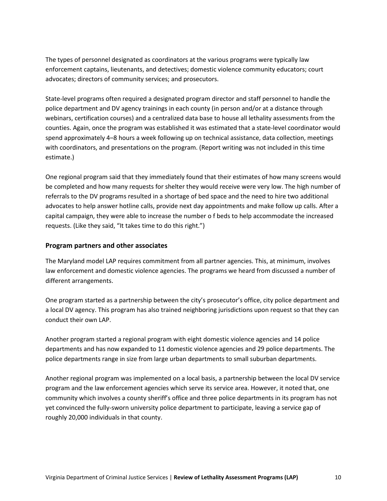The types of personnel designated as coordinators at the various programs were typically law enforcement captains, lieutenants, and detectives; domestic violence community educators; court advocates; directors of community services; and prosecutors.

State-level programs often required a designated program director and staff personnel to handle the police department and DV agency trainings in each county (in person and/or at a distance through webinars, certification courses) and a centralized data base to house all lethality assessments from the counties. Again, once the program was established it was estimated that a state-level coordinator would spend approximately 4–8 hours a week following up on technical assistance, data collection, meetings with coordinators, and presentations on the program. (Report writing was not included in this time estimate.)

One regional program said that they immediately found that their estimates of how many screens would be completed and how many requests for shelter they would receive were very low. The high number of referrals to the DV programs resulted in a shortage of bed space and the need to hire two additional advocates to help answer hotline calls, provide next day appointments and make follow up calls. After a capital campaign, they were able to increase the number o f beds to help accommodate the increased requests. (Like they said, "It takes time to do this right.")

#### **Program partners and other associates**

The Maryland model LAP requires commitment from all partner agencies. This, at minimum, involves law enforcement and domestic violence agencies. The programs we heard from discussed a number of different arrangements.

One program started as a partnership between the city's prosecutor's office, city police department and a local DV agency. This program has also trained neighboring jurisdictions upon request so that they can conduct their own LAP.

Another program started a regional program with eight domestic violence agencies and 14 police departments and has now expanded to 11 domestic violence agencies and 29 police departments. The police departments range in size from large urban departments to small suburban departments.

Another regional program was implemented on a local basis, a partnership between the local DV service program and the law enforcement agencies which serve its service area. However, it noted that, one community which involves a county sheriff's office and three police departments in its program has not yet convinced the fully-sworn university police department to participate, leaving a service gap of roughly 20,000 individuals in that county.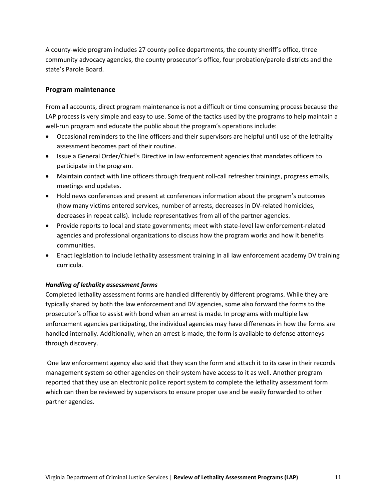A county-wide program includes 27 county police departments, the county sheriff's office, three community advocacy agencies, the county prosecutor's office, four probation/parole districts and the state's Parole Board.

#### **Program maintenance**

From all accounts, direct program maintenance is not a difficult or time consuming process because the LAP process is very simple and easy to use. Some of the tactics used by the programs to help maintain a well-run program and educate the public about the program's operations include:

- Occasional reminders to the line officers and their supervisors are helpful until use of the lethality assessment becomes part of their routine.
- Issue a General Order/Chief's Directive in law enforcement agencies that mandates officers to participate in the program.
- Maintain contact with line officers through frequent roll-call refresher trainings, progress emails, meetings and updates.
- Hold news conferences and present at conferences information about the program's outcomes (how many victims entered services, number of arrests, decreases in DV-related homicides, decreases in repeat calls). Include representatives from all of the partner agencies.
- Provide reports to local and state governments; meet with state-level law enforcement-related agencies and professional organizations to discuss how the program works and how it benefits communities.
- Enact legislation to include lethality assessment training in all law enforcement academy DV training curricula.

#### *Handling of lethality assessment forms*

Completed lethality assessment forms are handled differently by different programs. While they are typically shared by both the law enforcement and DV agencies, some also forward the forms to the prosecutor's office to assist with bond when an arrest is made. In programs with multiple law enforcement agencies participating, the individual agencies may have differences in how the forms are handled internally. Additionally, when an arrest is made, the form is available to defense attorneys through discovery.

One law enforcement agency also said that they scan the form and attach it to its case in their records management system so other agencies on their system have access to it as well. Another program reported that they use an electronic police report system to complete the lethality assessment form which can then be reviewed by supervisors to ensure proper use and be easily forwarded to other partner agencies.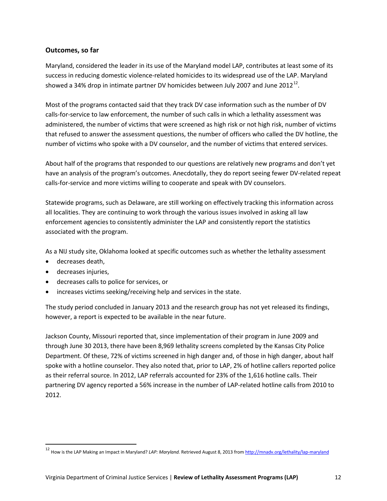#### **Outcomes, so far**

Maryland, considered the leader in its use of the Maryland model LAP, contributes at least some of its success in reducing domestic violence-related homicides to its widespread use of the LAP. Maryland showed a 34% drop in intimate partner DV homicides between July 2007 and June 20[12](#page-12-0)<sup>12</sup>.

Most of the programs contacted said that they track DV case information such as the number of DV calls-for-service to law enforcement, the number of such calls in which a lethality assessment was administered, the number of victims that were screened as high risk or not high risk, number of victims that refused to answer the assessment questions, the number of officers who called the DV hotline, the number of victims who spoke with a DV counselor, and the number of victims that entered services.

About half of the programs that responded to our questions are relatively new programs and don't yet have an analysis of the program's outcomes. Anecdotally, they do report seeing fewer DV-related repeat calls-for-service and more victims willing to cooperate and speak with DV counselors.

Statewide programs, such as Delaware, are still working on effectively tracking this information across all localities. They are continuing to work through the various issues involved in asking all law enforcement agencies to consistently administer the LAP and consistently report the statistics associated with the program.

As a NIJ study site, Oklahoma looked at specific outcomes such as whether the lethality assessment

- decreases death,
- decreases injuries,
- decreases calls to police for services, or
- increases victims seeking/receiving help and services in the state.

The study period concluded in January 2013 and the research group has not yet released its findings, however, a report is expected to be available in the near future.

Jackson County, Missouri reported that, since implementation of their program in June 2009 and through June 30 2013, there have been 8,969 lethality screens completed by the Kansas City Police Department. Of these, 72% of victims screened in high danger and, of those in high danger, about half spoke with a hotline counselor. They also noted that, prior to LAP, 2% of hotline callers reported police as their referral source. In 2012, LAP referrals accounted for 23% of the 1,616 hotline calls. Their partnering DV agency reported a 56% increase in the number of LAP-related hotline calls from 2010 to 2012.

<span id="page-12-0"></span> <sup>12</sup> How is the LAP Making an Impact in Maryland? *LAP: Maryland.* Retrieved August 8, 2013 fro[m http://mnadv.org/lethality/lap-maryland](http://mnadv.org/lethality/lap-maryland/)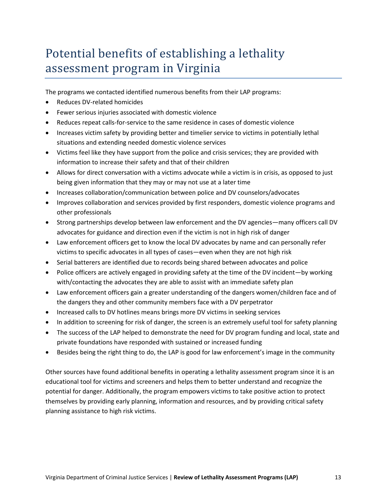## Potential benefits of establishing a lethality assessment program in Virginia

The programs we contacted identified numerous benefits from their LAP programs:

- Reduces DV-related homicides
- Fewer serious injuries associated with domestic violence
- Reduces repeat calls-for-service to the same residence in cases of domestic violence
- Increases victim safety by providing better and timelier service to victims in potentially lethal situations and extending needed domestic violence services
- Victims feel like they have support from the police and crisis services; they are provided with information to increase their safety and that of their children
- Allows for direct conversation with a victims advocate while a victim is in crisis, as opposed to just being given information that they may or may not use at a later time
- Increases collaboration/communication between police and DV counselors/advocates
- Improves collaboration and services provided by first responders, domestic violence programs and other professionals
- Strong partnerships develop between law enforcement and the DV agencies—many officers call DV advocates for guidance and direction even if the victim is not in high risk of danger
- Law enforcement officers get to know the local DV advocates by name and can personally refer victims to specific advocates in all types of cases—even when they are not high risk
- Serial batterers are identified due to records being shared between advocates and police
- Police officers are actively engaged in providing safety at the time of the DV incident—by working with/contacting the advocates they are able to assist with an immediate safety plan
- Law enforcement officers gain a greater understanding of the dangers women/children face and of the dangers they and other community members face with a DV perpetrator
- Increased calls to DV hotlines means brings more DV victims in seeking services
- In addition to screening for risk of danger, the screen is an extremely useful tool for safety planning
- The success of the LAP helped to demonstrate the need for DV program funding and local, state and private foundations have responded with sustained or increased funding
- Besides being the right thing to do, the LAP is good for law enforcement's image in the community

Other sources have found additional benefits in operating a lethality assessment program since it is an educational tool for victims and screeners and helps them to better understand and recognize the potential for danger. Additionally, the program empowers victims to take positive action to protect themselves by providing early planning, information and resources, and by providing critical safety planning assistance to high risk victims.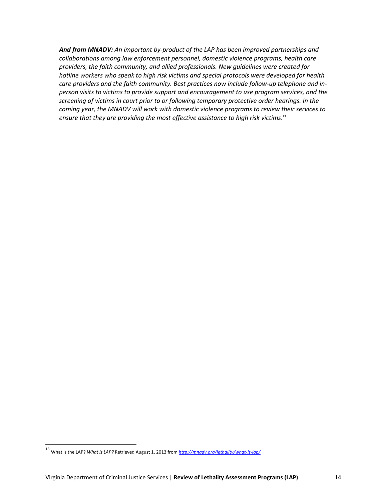*And from MNADV: An important by-product of the LAP has been improved partnerships and collaborations among law enforcement personnel, domestic violence programs, health care providers, the faith community, and allied professionals. New guidelines were created for hotline workers who speak to high risk victims and special protocols were developed for health care providers and the faith community. Best practices now include follow-up telephone and inperson visits to victims to provide support and encouragement to use program services, and the screening of victims in court prior to or following temporary protective order hearings. In the coming year, the MNADV will work with domestic violence programs to review their services to ensure that they are providing the most effective assistance to high risk victims. [13](#page-14-0)*

<span id="page-14-0"></span> <sup>13</sup> What is the LAP? *What is LAP?* Retrieved August 1, 2013 from *<http://mnadv.org/lethality/what-is-lap/>*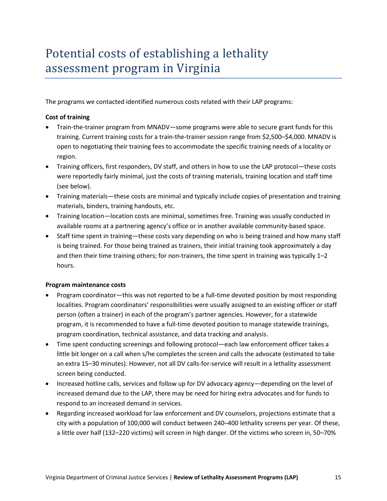### Potential costs of establishing a lethality assessment program in Virginia

The programs we contacted identified numerous costs related with their LAP programs:

#### **Cost of training**

- Train-the-trainer program from MNADV—some programs were able to secure grant funds for this training. Current training costs for a train-the-trainer session range from \$2,500–\$4,000. MNADV is open to negotiating their training fees to accommodate the specific training needs of a locality or region.
- Training officers, first responders, DV staff, and others in how to use the LAP protocol—these costs were reportedly fairly minimal, just the costs of training materials, training location and staff time (see below).
- Training materials—these costs are minimal and typically include copies of presentation and training materials, binders, training handouts, etc.
- Training location—location costs are minimal, sometimes free. Training was usually conducted in available rooms at a partnering agency's office or in another available community-based space.
- Staff time spent in training—these costs vary depending on who is being trained and how many staff is being trained. For those being trained as trainers, their initial training took approximately a day and then their time training others; for non-trainers, the time spent in training was typically 1–2 hours.

#### **Program maintenance costs**

- Program coordinator—this was not reported to be a full-time devoted position by most responding localities. Program coordinators' responsibilities were usually assigned to an existing officer or staff person (often a trainer) in each of the program's partner agencies. However, for a statewide program, it is recommended to have a full-time devoted position to manage statewide trainings, program coordination, technical assistance, and data tracking and analysis.
- Time spent conducting screenings and following protocol—each law enforcement officer takes a little bit longer on a call when s/he completes the screen and calls the advocate (estimated to take an extra 15–30 minutes). However, not all DV calls-for-service will result in a lethality assessment screen being conducted.
- Increased hotline calls, services and follow up for DV advocacy agency—depending on the level of increased demand due to the LAP, there may be need for hiring extra advocates and for funds to respond to an increased demand in services.
- Regarding increased workload for law enforcement and DV counselors, projections estimate that a city with a population of 100,000 will conduct between 240–400 lethality screens per year. Of these, a little over half (132–220 victims) will screen in high danger. Of the victims who screen in, 50–70%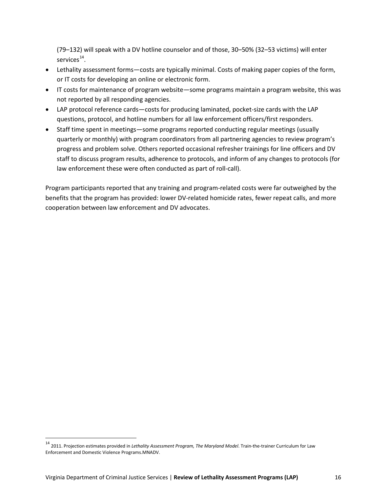(79–132) will speak with a DV hotline counselor and of those, 30–50% (32–53 victims) will enter services $^{14}$ .

- Lethality assessment forms—costs are typically minimal. Costs of making paper copies of the form, or IT costs for developing an online or electronic form.
- IT costs for maintenance of program website—some programs maintain a program website, this was not reported by all responding agencies.
- LAP protocol reference cards—costs for producing laminated, pocket-size cards with the LAP questions, protocol, and hotline numbers for all law enforcement officers/first responders.
- Staff time spent in meetings—some programs reported conducting regular meetings (usually quarterly or monthly) with program coordinators from all partnering agencies to review program's progress and problem solve. Others reported occasional refresher trainings for line officers and DV staff to discuss program results, adherence to protocols, and inform of any changes to protocols (for law enforcement these were often conducted as part of roll-call).

Program participants reported that any training and program-related costs were far outweighed by the benefits that the program has provided: lower DV-related homicide rates, fewer repeat calls, and more cooperation between law enforcement and DV advocates.

<span id="page-16-0"></span> <sup>14</sup> 2011. Projection estimates provided in *Lethality Assessment Program, The Maryland Model*. Train-the-trainer Curriculum for Law Enforcement and Domestic Violence Programs.MNADV.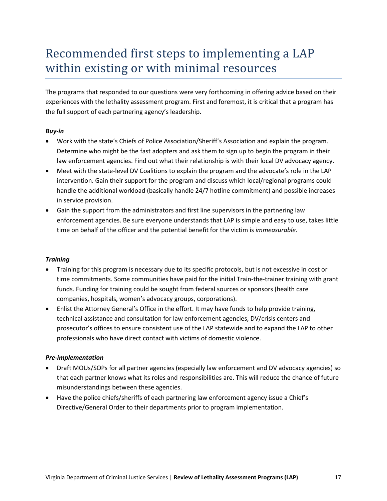### Recommended first steps to implementing a LAP within existing or with minimal resources

The programs that responded to our questions were very forthcoming in offering advice based on their experiences with the lethality assessment program. First and foremost, it is critical that a program has the full support of each partnering agency's leadership.

#### *Buy-in*

- Work with the state's Chiefs of Police Association/Sheriff's Association and explain the program. Determine who might be the fast adopters and ask them to sign up to begin the program in their law enforcement agencies. Find out what their relationship is with their local DV advocacy agency.
- Meet with the state-level DV Coalitions to explain the program and the advocate's role in the LAP intervention. Gain their support for the program and discuss which local/regional programs could handle the additional workload (basically handle 24/7 hotline commitment) and possible increases in service provision.
- Gain the support from the administrators and first line supervisors in the partnering law enforcement agencies. Be sure everyone understands that LAP is simple and easy to use, takes little time on behalf of the officer and the potential benefit for the victim is *immeasurable*.

#### *Training*

- Training for this program is necessary due to its specific protocols, but is not excessive in cost or time commitments. Some communities have paid for the initial Train-the-trainer training with grant funds. Funding for training could be sought from federal sources or sponsors (health care companies, hospitals, women's advocacy groups, corporations).
- Enlist the Attorney General's Office in the effort. It may have funds to help provide training, technical assistance and consultation for law enforcement agencies, DV/crisis centers and prosecutor's offices to ensure consistent use of the LAP statewide and to expand the LAP to other professionals who have direct contact with victims of domestic violence.

#### *Pre-implementation*

- Draft MOUs/SOPs for all partner agencies (especially law enforcement and DV advocacy agencies) so that each partner knows what its roles and responsibilities are. This will reduce the chance of future misunderstandings between these agencies.
- Have the police chiefs/sheriffs of each partnering law enforcement agency issue a Chief's Directive/General Order to their departments prior to program implementation.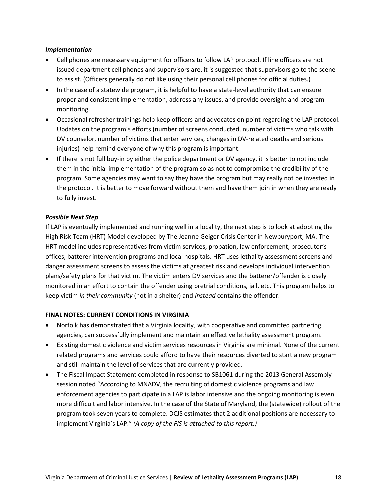#### *Implementation*

- Cell phones are necessary equipment for officers to follow LAP protocol. If line officers are not issued department cell phones and supervisors are, it is suggested that supervisors go to the scene to assist. (Officers generally do not like using their personal cell phones for official duties.)
- In the case of a statewide program, it is helpful to have a state-level authority that can ensure proper and consistent implementation, address any issues, and provide oversight and program monitoring.
- Occasional refresher trainings help keep officers and advocates on point regarding the LAP protocol. Updates on the program's efforts (number of screens conducted, number of victims who talk with DV counselor, number of victims that enter services, changes in DV-related deaths and serious injuries) help remind everyone of why this program is important.
- If there is not full buy-in by either the police department or DV agency, it is better to not include them in the initial implementation of the program so as not to compromise the credibility of the program. Some agencies may want to say they have the program but may really not be invested in the protocol. It is better to move forward without them and have them join in when they are ready to fully invest.

#### *Possible Next Step*

If LAP is eventually implemented and running well in a locality, the next step is to look at adopting the High Risk Team (HRT) Model developed by The Jeanne Geiger Crisis Center in Newburyport, MA. The HRT model includes representatives from victim services, probation, law enforcement, prosecutor's offices, batterer intervention programs and local hospitals. HRT uses lethality assessment screens and danger assessment screens to assess the victims at greatest risk and develops individual intervention plans/safety plans for that victim. The victim enters DV services and the batterer/offender is closely monitored in an effort to contain the offender using pretrial conditions, jail, etc. This program helps to keep victim *in their community* (not in a shelter) and *instead* contains the offender.

#### **FINAL NOTES: CURRENT CONDITIONS IN VIRGINIA**

- Norfolk has demonstrated that a Virginia locality, with cooperative and committed partnering agencies, can successfully implement and maintain an effective lethality assessment program.
- Existing domestic violence and victim services resources in Virginia are minimal. None of the current related programs and services could afford to have their resources diverted to start a new program and still maintain the level of services that are currently provided.
- The Fiscal Impact Statement completed in response to SB1061 during the 2013 General Assembly session noted "According to MNADV, the recruiting of domestic violence programs and law enforcement agencies to participate in a LAP is labor intensive and the ongoing monitoring is even more difficult and labor intensive. In the case of the State of Maryland, the (statewide) rollout of the program took seven years to complete. DCJS estimates that 2 additional positions are necessary to implement Virginia's LAP." *(A copy of the FIS is attached to this report.)*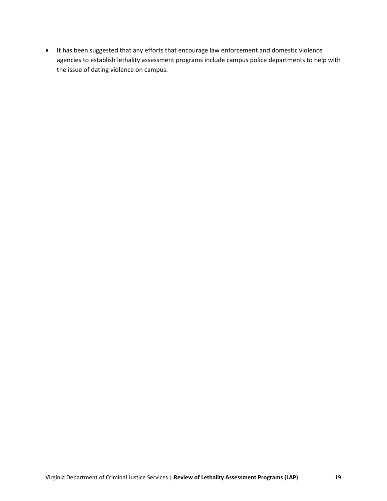• It has been suggested that any efforts that encourage law enforcement and domestic violence agencies to establish lethality assessment programs include campus police departments to help with the issue of dating violence on campus.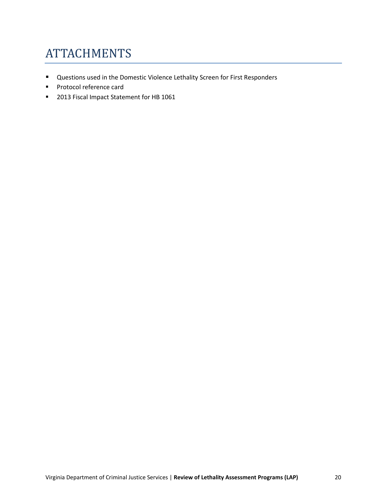### **ATTACHMENTS**

- Questions used in the Domestic Violence Lethality Screen for First Responders
- **Protocol reference card**
- **2013 Fiscal Impact Statement for HB 1061**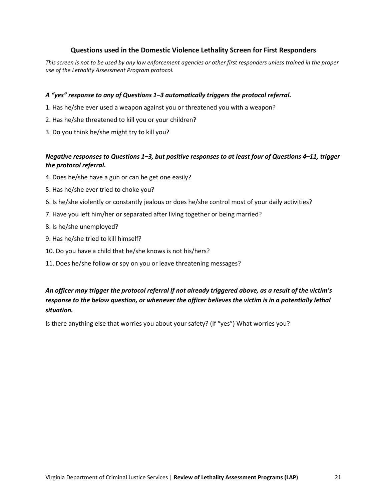#### **Questions used in the Domestic Violence Lethality Screen for First Responders**

*This screen is not to be used by any law enforcement agencies or other first responders unless trained in the proper use of the Lethality Assessment Program protocol.* 

#### *A "yes" response to any of Questions 1–3 automatically triggers the protocol referral.*

- 1. Has he/she ever used a weapon against you or threatened you with a weapon?
- 2. Has he/she threatened to kill you or your children?
- 3. Do you think he/she might try to kill you?

#### *Negative responses to Questions 1–3, but positive responses to at least four of Questions 4–11, trigger the protocol referral.*

- 4. Does he/she have a gun or can he get one easily?
- 5. Has he/she ever tried to choke you?
- 6. Is he/she violently or constantly jealous or does he/she control most of your daily activities?
- 7. Have you left him/her or separated after living together or being married?
- 8. Is he/she unemployed?
- 9. Has he/she tried to kill himself?
- 10. Do you have a child that he/she knows is not his/hers?
- 11. Does he/she follow or spy on you or leave threatening messages?

#### *An officer may trigger the protocol referral if not already triggered above, as a result of the victim's response to the below question, or whenever the officer believes the victim is in a potentially lethal situation.*

Is there anything else that worries you about your safety? (If "yes") What worries you?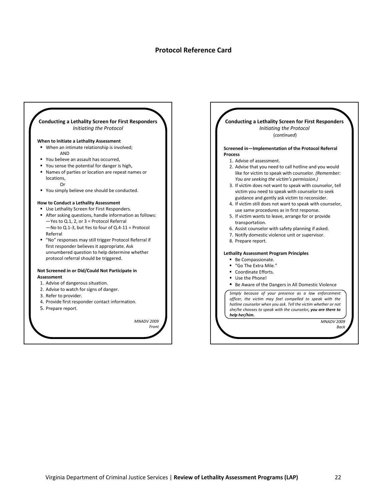#### **Protocol Reference Card**



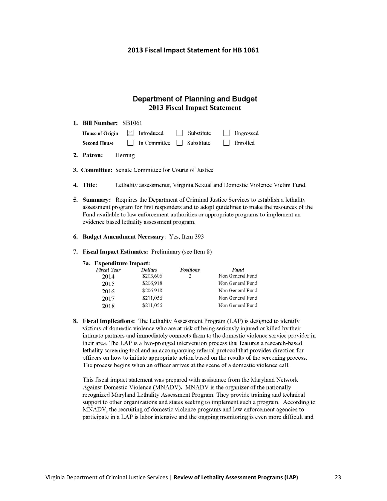#### **2013 Fiscal Impact Statement for HB 1061**

#### **Department of Planning and Budget 2013 Fiscal Impact Statement**

| 1. Bill Number: SB1061 |                                       |            |                 |  |
|------------------------|---------------------------------------|------------|-----------------|--|
| <b>House of Origin</b> | $\boxtimes$ Introduced                | Substitute | Engrossed       |  |
| <b>Second House</b>    | $\Box$ In Committee $\Box$ Substitute |            | $\Box$ Enrolled |  |

- 2. Patron: Herring
- 3. Committee: Senate Committee for Courts of Justice
- 4. Title: Lethality assessments; Virginia Sexual and Domestic Violence Victim Fund.
- 5. Summary: Requires the Department of Criminal Justice Services to establish a lethality assessment program for first responders and to adopt guidelines to make the resources of the Fund available to law enforcement authorities or appropriate programs to implement an evidence based lethality assessment program.
- 6. Budget Amendment Necessary: Yes, Item 393
- 7. Fiscal Impact Estimates: Preliminary (see Item 8)
	- 7a. Expenditure Impact:

| <b>Fiscal Year</b> | <b>Dollars</b> | <b>Positions</b> | Fund             |
|--------------------|----------------|------------------|------------------|
| 2014               | \$203,606      |                  | Non General Fund |
| 2015               | \$206,918      |                  | Non General Fund |
| 2016               | \$206,918      |                  | Non General Fund |
| 2017               | \$211,056      |                  | Non General Fund |
| 2018               | \$211,056      |                  | Non General Fund |

8. Fiscal Implications: The Lethality Assessment Program (LAP) is designed to identify victims of domestic violence who are at risk of being seriously injured or killed by their intimate partners and immediately connects them to the domestic violence service provider in their area. The LAP is a two-pronged intervention process that features a research-based lethality screening tool and an accompanying referral protocol that provides direction for officers on how to initiate appropriate action based on the results of the screening process. The process begins when an officer arrives at the scene of a domestic violence call.

This fiscal impact statement was prepared with assistance from the Maryland Network Against Domestic Violence (MNADV). MNADV is the organizer of the nationally recognized Maryland Lethality Assessment Program. They provide training and technical support to other organizations and states seeking to implement such a program. According to MNADV, the recruiting of domestic violence programs and law enforcement agencies to participate in a LAP is labor intensive and the ongoing monitoring is even more difficult and